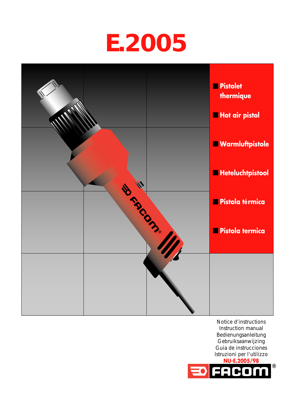



Notice d'instructions Instruction manual Bedienungsanleitung Gebruiksaanwijzing Guia de instrucciones Istruzioni per l'utilizzo

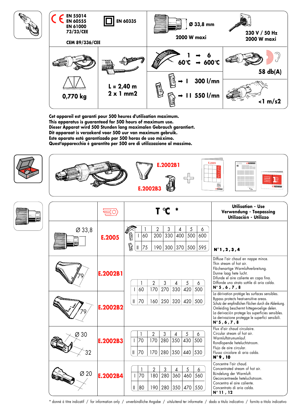

**Cet appareil est garanti pour 500 heures d'utilisation maximum. This apparatus is guaranteed for 500 hours of maximum use. Dieser Apparat wird 500 Stunden lang maximalen Gebrauch garantiert. Dit apparaat is verzekerd voor 500 uur van maximum gebruik. Este aparato está garantizado por 500 horas de uso máximo. Quest'apparecchio é garantito per 500 ore di utilizzazione al massimo.**





|                    |          |                                                      |           |          |                              |                 |                            |                     | <b>Utilisation - Use</b><br>Verwendung - Toepassing<br>Utilización - Utilizzo |                                                                                                                                                                                                                                                                                                                      |                                                                                                                                                                                                                                         |  |  |  |
|--------------------|----------|------------------------------------------------------|-----------|----------|------------------------------|-----------------|----------------------------|---------------------|-------------------------------------------------------------------------------|----------------------------------------------------------------------------------------------------------------------------------------------------------------------------------------------------------------------------------------------------------------------------------------------------------------------|-----------------------------------------------------------------------------------------------------------------------------------------------------------------------------------------------------------------------------------------|--|--|--|
| $\varnothing$ 33,8 | E.2005   | ß<br>ß                                               |           | 60<br>75 | $\overline{2}$<br>200<br>190 | 3<br>330<br>300 | 4<br>400<br>370            | 5<br>500<br>500     | 6<br>600<br>595                                                               |                                                                                                                                                                                                                                                                                                                      | N°1, 2, 3, 4                                                                                                                                                                                                                            |  |  |  |
|                    | E.2002B1 |                                                      | 60        |          | $\overline{2}$<br>170        | 3<br>270        | 4<br>330                   | 5<br>420            | 6<br>500                                                                      |                                                                                                                                                                                                                                                                                                                      | Diffuse l'air chaud en nappe mince.<br>Thin stream of hot air.<br>Flächenartige Warmluftverbreitung.<br>Dunne laag hete lucht.<br>Difunde el aire caliente en capa fina.<br>Diffonde uno strato sottile di aria calda.<br>N° 5, 6, 7, 8 |  |  |  |
|                    | E.2002B2 | $\parallel$<br>70<br>250<br>320<br>420<br>500<br>160 |           |          |                              |                 |                            |                     |                                                                               | La dérivation protège les surfaces sensibles.<br>Bypass protects heat-sensitive areas.<br>Schutz der empfindlichen Flächen durch die Ablenkung.<br>Omleiding beschermt hittegevoelige delen.<br>La derivación protege las superficies sensibles.<br>La derivazione protegge le superfici sensibili.<br>N° 5, 6, 7, 8 |                                                                                                                                                                                                                                         |  |  |  |
| 30<br>32           | E.2002B3 | $\mathbb{I}$                                         | 70<br>170 |          | $\overline{2}$<br>170<br>170 | 3<br>280<br>280 | 4<br>350<br>$350 \mid 440$ | 5<br>430            | 6<br>500<br>530                                                               |                                                                                                                                                                                                                                                                                                                      | Flux d'air chaud circulaire.<br>Circular stream of hot air.<br>Warmluftstrumumlauf.<br>Rondlopende heteluchtstroom.<br>Flujo de aire circular.<br>Flusso circolare di aria calda.<br>N° 9, 10                                           |  |  |  |
| Ø 20               | E.2002B4 | Ш                                                    | 70<br>80  |          | $\overline{2}$<br>180<br>190 | 3<br>280<br>280 | 4<br>360                   | 5<br>460<br>350 470 | 6<br>560<br>550                                                               |                                                                                                                                                                                                                                                                                                                      | Concentre l'air chaud.<br>Concentrated stream of hot air.<br>Bündelung der Warmluft.<br>Geconcentreede heteluchstroom.<br>Concentra el gire caliente.<br>Concentrato di aria calda.<br>$N^{\circ}$ 11, 12                               |  |  |  |

\* donné à titre indicatif / for information only / unverbindliche Angabe / uitsluitend ter informatie / dado a titulo indicativo / fornito a titolo indicativo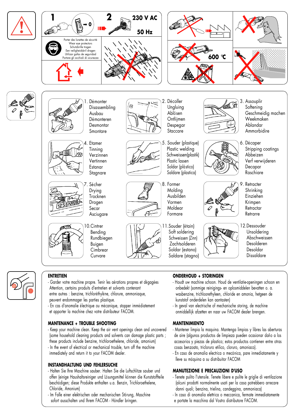



#### **ENTRETIEN**

- Garder votre machine propre. Tenir les aérations propres et dégagées Attention, certains produits d'entretien et solvants contenant entre autres : benzine, trichloréthylène, chlorure, ammoniaque, peuvent endommager les parties plastique.
- En cas d'anomalie électrique ou mécanique, stopper immédiatement et apporter la machine chez votre distributeur FACOM.

# **MANTENANCE + TROUBLE SHOOTING**

- Keep your machine clean. Keep the air vent openings clean and uncovered (some household cleaning products and solvents can damage plastic parts ; these products include benzine, trichloroethelene, chloride, amonium) - In the event of electrical or mechanical trouble, turn off the machine immediately and return it to your FACOM dealer.

## **INSTANDHALTUNG UND FEHLERSUCHE**

- Halten Sie Ihre Maschine sauber. Halten Sie die Luftschlitze sauber und offen (einige Haushaltsreiniger und Lösungsmittel können die Kunststoffteile beschädigen; diese Produkte enthalten u.a. Benzin, Trichloroethelene, Chloride, Amonium)
- Im Falle einer elektrischen oder mechanischen Störung, Maschine sofort ausschalten und Ihrem FACOM - Händler bringen.

## **ONDERHOUD + STORINGEN**

- Houdt uw machine schoon. Houd de ventilatie-openingen schoon en onbedekt (sommige reinigings- en oplosmiddelen bevatten o. a. wasbenzine, trichloorethyleen, chloride en amonia, hetgeen de kunststof onderdelen kan aantasten)
- In geval van electrische of mechanische storing, de machine onmiddellijk afzetten en naar uw FACOM dealer brengen.

## **MANTENIMIENTO**

- Mantener limpia la maquina. Mantenga limpias y libres las aberturas de aire (algunos productos de limpieza pueden ocasionar daño a los accesorios y piezas de plastico; estos productos contienen entre otras cosas benzoato, tricloruro etilico, cloruro, amoniaco).
- En caso de anomalia electrica o mecánica, pare inmediatamente y lleve su máquina a su distribuitor FACOM

#### **MANUTEZIONE E PRECAUZIONI D'USO**

- Tenete pulito l'utensile. Tenete libere e pulite le griglie di ventilazione (alcuni prodotti normalmente usati per la casa potrebbero arrecare danni quali; benzina, trielina, candeggina, ammoniaca)
- In caso di anomalia elettrica o meccanica, fermate immediatamente e portate la macchina dal Vostro distributore FACOM.